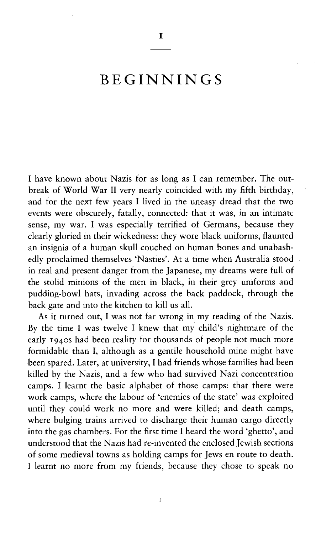# **BEGINNINGS**

I have known about Nazis for as long as I can remember. The outbreak of World War II very nearly coincided with my fifth birthday, and for the next few years I lived in the uneasy dread that the two events were obscurely, fatally, connected: that it was, in an intimate sense, my war. I was especially terrified of Germans, because they clearly gloried in their wickedness: they wore black uniforms, flaunted an insignia of a human skull couched on human bones and unabashedly proclaimed themselves 'Nasties'. At a time when Australia stood in real and present danger from the Japanese, my dreams were full of the stolid minions of the men in black, in their grey uniforms and pudding-bowl hats, invading across the back paddock, through the back gate and into the kitchen to kill us all.

As it turned out, I was not far wrong in my reading of the Nazis. By the time I was twelve I knew that my child's nightmare of the early 1940s had been reality for thousands of people not much more formidable than I, although as a gentile household mine might have been spared. Later, at university, I had friends whose families had been killed by the Nazis, and a few who had survived Nazi concentration camps. I learnt the basic alphabet of those camps: that there were work camps, where the labour of 'enemies of the state' was exploited until they could work no more and were killed; and death camps, where bulging trains arrived to discharge their human cargo directly into the gas chambers. For the first time I heard the word 'ghetto', and understood that the Nazis had re-invented the enclosed Jewish sections of some medieval towns as holding camps for Jews en route to death. I learnt no more from my friends, because they chose to speak no

 $\mathbf{r}$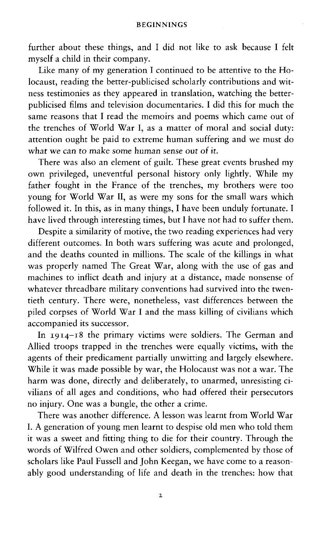further about these things, and I did not like to ask because I felt myself a child in their company.

Like many of my generation I continued to be attentive to the Holocaust, reading the better-publicised scholarly contributions and witness testimonies as they appeared in translation, watching the betterpublicised films and television documentaries. I did this for much the same reasons that I read the memoirs and poems which came out of the trenches of World War I, as a matter of moral and social duty: attention ought be paid to extreme human suffering and we must do what we can to make some human sense out of it.

There was also an element of guilt. These great events brushed my own privileged, uneventful personal history only lightly. While my father fought in the France of the trenches, my brothers were too young for World War II, as were my sons for the small wars which followed it. In this, as in many things, I have been unduly fortunate. I have lived through interesting times, but I have not had to suffer them.

Despite a similarity of motive, the two reading experiences had very different outcomes. In both wars suffering was acute and prolonged, and the deaths counted in millions. The scale of the killings in what was properly named The Great War, along with the use of gas and machines to inflict death and injury at a distance, made nonsense of whatever threadbare military conventions had survived into the twentieth century. There were, nonetheless, vast differences between the piled corpses of World War I and the mass killing of civilians which accompanied its successor.

In  $1914 - 18$  the primary victims were soldiers. The German and Allied troops trapped in the trenches were equally victims, with the agents of their predicament partially unwitting and largely elsewhere. While it was made possible by war, the Holocaust was not a war. The harm was done, directly and deliberately, to unarmed, unresisting civilians of all ages and conditions, who had offered their persecutors no injury. One was a bungle, the other a crime.

There was another difference. A lesson was learnt from World War I. A generation of young men learnt to despise old men who told them it was a sweet and fitting thing to die for their country. Through the words of Wilfred Owen and other soldiers, complemented by those of scholars like Paul Fussell and John Keegan, we have come to a reasonably good understanding of life and death in the trenches: how that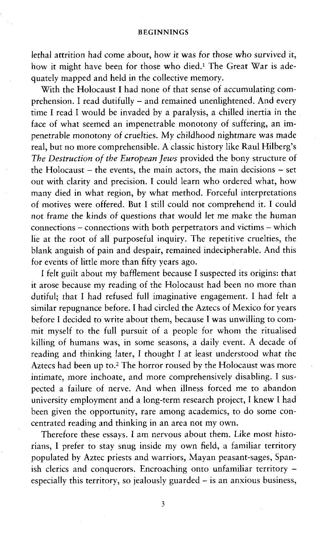#### **BEGINNINGS**

lethal attrition had come about, how it was for those who survived it, how it might have been for those who died.<sup>1</sup> The Great War is adequately mapped and held in the collective memory.

With the Holocaust I had none of that sense of accumulating comprehension. I read dutifully – and remained unenlightened. And every time I read I would be invaded by a paralysis, a chilled inertia in the face of what seemed an impenetrable monotony of suffering, an impenetrable monotony of cruelties. My childhood nightmare was made real, but no more comprehensible. A classic history like Raul Hilberg's *The Destruction of the European Jews provided the bony structure of* the Holocaust  $-$  the events, the main actors, the main decisions  $-$  set out with clarity and precision. I could learn who ordered what, how many died in what region, by what method. Forceful interpretations of motives were offered. But I still could not comprehend it. I could not frame the kinds of questions that would let me make the human connections - connections with both perpetrators and victims - which lie at the root of all purposeful inquiry. The repetitive cruelties, the blank anguish of pain and despair, remained indecipherable. And this for events of little more than fifty years ago.

I felt guilt about my bafflement because I suspected its origins: that it arose because my reading of the Holocaust had been no more than dutiful; that I had refused full imaginative engagement. I had felt a similar repugnance before. I had circled the Aztecs of Mexico for years before I decided to write about them, because I was unwilling to commit myself to the full pursuit of a people for whom the ritualised killing of humans was, in some seasons, a daily event. A decade of reading and thinking later, I thought I at least understood what the Aztecs had been up to.<sup>2</sup> The horror roused by the Holocaust was more intimate, more inchoate, and more comprehensively disabling. I suspected a failure of nerve. And when illness forced me to abandon university employment and a long-term research project, I knew I had been given the opportunity, rare among academics, to do some concentrated reading and thinking in an area not my own.

Therefore these essays. I am nervous about them. Like most historians, I prefer to stay snug inside my own field, a familiar territory populated by Aztec priests and warriors, Mayan peasant-sages, Spanish clerics and conquerors. Encroaching onto unfamiliar territory especially this territory, so jealously guarded - is an anxious business,

**3**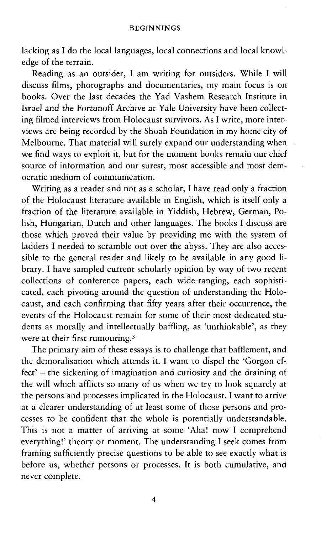lacking as I do the local languages, local connections and local knowledge of the terrain.

Reading as an outsider, I am writing for outsiders. While I will discuss films, photographs and documentaries, my main focus is on books. Over the last decades the Yad Vashem Research Institute in Israel and the Fortunoff Archive at Yale University have been collecting filmed interviews from Holocaust survivors. As I write, more interviews are being recorded by the Shoah Foundation in my home city of Melbourne. That material will surely expand our understanding when we find ways to exploit it, but for the moment books remain our chief source of information and our surest, most accessible and most democratic medium of communication.

Writing as a reader and not as a scholar, I have read only a fraction of the Holocaust literature available in English, which is itself only a fraction of the literature available in Yiddish, Hebrew, German, Polish, Hungarian, Dutch and other languages. The books I discuss are those which proved their value by providing me with the system of ladders I needed to scramble out over the abyss. They are also accessible to the general reader and likely to be available in any good library. I have sampled current scholarly opinion by way of two recent collections of conference papers, each wide-ranging, each sophisticated, each pivoting around the question of understanding the Holocaust, and each confirming that fifty years after their occurrence, the events of the Holocaust remain for some of their most dedicated students as morally and intellectually baffling, as 'unthinkable', as they were at their first rumouring.<sup>3</sup>

The primary aim of these essays is to challenge that bafflement, and the demoralisation which attends it. I want to dispel the 'Gorgon effect' - the sickening of imagination and curiosity and the draining of the will which afflicts so many of us when we try to look squarely at the persons and processes implicated in the Holocaust. I want to arrive at a clearer understanding of at least some of those persons and processes to be confident that the whole is potentially understandable. This is not a matter of arriving at some 'Aha! now I comprehend everything!' theory or moment. The understanding I seek comes from framing sufficiently precise questions to be able to see exactly what is before us, whether persons or processes. It is both cumulative, and never complete.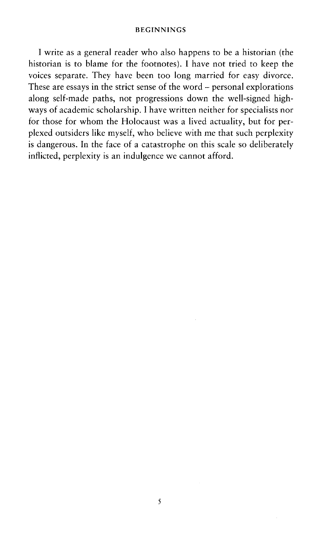### **BEGINNINGS**

I write as a general reader who also happens to be a historian (the historian is to blame for the footnotes). I have not tried to keep the voices separate. They have been too long married for easy divorce. These are essays in the strict sense of the word – personal explorations along self-made paths, not progressions down the well-signed highways of academic scholarship. I have written neither for specialists nor for those for whom the Holocaust was a lived actuality, but for perplexed outsiders like myself, who believe with me that such perplexity is dangerous. In the face of a catastrophe on this scale so deliberately inflicted, perplexity is an indulgence we cannot afford.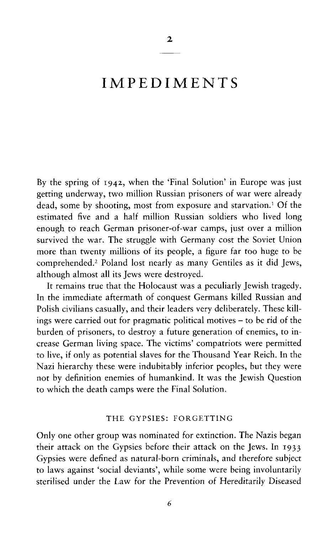# **IMPEDIMENTS**

By the spring of  $1942$ , when the 'Final Solution' in Europe was just getting underway, two million Russian prisoners of war were already dead, some by shooting, most from exposure and starvation.<sup>1</sup> Of the estimated five and a half million Russian soldiers who lived long enough to reach German prisoner-of-war camps, just over a million survived the war. The struggle with Germany cost the Soviet Union more than twenty millions of its people, a figure far too huge to be comprehended.2 Poland lost nearly as many Gentiles as it did Jews, although almost all its Jews were destroyed.

It remains true that the Holocaust was a peculiarly Jewish tragedy. In the immediate aftermath of conquest Germans killed Russian and Polish civilians casually, and their leaders very deliberately. These killings were carried out for pragmatic political motives - to be rid of the burden of prisoners, to destroy a future generation of enemies, to increase German living space. The victims' compatriots were permitted to live, if only as potential slaves for the Thousand Year Reich. In the Nazi hierarchy these were indubitably inferior peoples, but they were not by definition enemies of humankind. It was the Jewish Question to which the death camps were the Final Solution.

# THE GYPSIES: FORGETTING

Only one other group was nominated for extinction. The Nazis began their attack on the Gypsies before their attack on the Jews. In 1933 Gypsies were defined as natural-born criminals, and therefore subject to laws against 'social deviants', while some were being involuntarily sterilised under the Law for the Prevention of Hereditarily Diseased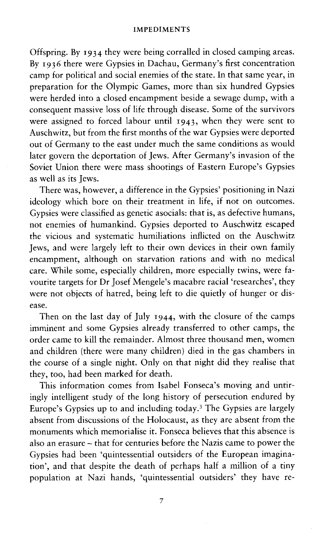Offspring. By 1934 they were being corralled in closed camping areas. By 1936 there were Gypsies in Dachau, Germany's first concentration camp for political and social enemies of the state. In that same year, in preparation for the Olympic Games, more than six hundred Gypsies were herded into a closed encampment beside a sewage dump, with a consequent massive loss of life through disease. Some of the survivors were assigned to forced labour until 1943, when they were sent to Auschwitz, but from the first months of the war Gypsies were deported out of Germany to the east under much the same conditions as would later govern the deportation of Jews. After Germany's invasion of the Soviet Union there were mass shootings of Eastern Europe's Gypsies as well as its Jews.

There was, however, a difference in the Gypsies' positioning in Nazi ideology which bore on their treatment in life, if not on outcomes. Gypsies were classified as genetic asocials: that is, as defective humans, not enemies of humankind. Gypsies deported to Auschwitz escaped the vicious and systematic humiliations inflicted on the Auschwitz Jews, and were largely left to their own devices in their own family encampment, although on starvation rations and with no medical care. While some, especially children, more especially twins, were favourite targets for Dr Josef Mengele's macabre racial 'researches', they were not objects of hatred, being left to die quietly of hunger or disease.

Then on the last day of July 1944, with the closure of the camps imminent and some Gypsies already transferred to other camps, the order came to kill the remainder. Almost three thousand men, women and children (there were many children) died in the gas chambers in the course of a single night. Only on that night did they realise that they, too, had been marked for death.

This information comes from Isabel Fonseca's moving and untiringly intelligent study of the long history of persecution endured by Europe's Gypsies up to and including today.<sup>3</sup> The Gypsies are largely absent from discussions of the Holocaust, as they are absent from the monuments which memorialise it. Fonseca believes that this absence is also an erasure - that for centuries before the Nazis came to power the Gypsies had been 'quintessential outsiders of the European imagination', and that despite the death of perhaps half a million of a tiny population at Nazi hands, 'quintessential outsiders' they have re-

**7**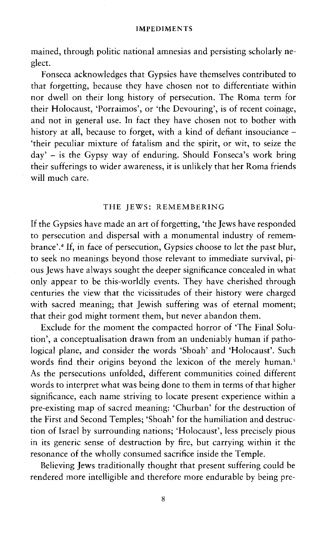### **IMPEDIMENTS**

mained, through politic national amnesias and persisting scholarly neglect.

Fonseca acknowledges that Gypsies have themselves contributed to that forgetting, because they have chosen not to differentiate within nor dwell on their long history of persecution. The Roma term for their Holocaust, 'Porraimos', or 'the Devouring', is of recent coinage, and not in general use. In fact they have chosen not to bother with history at all, because to forget, with a kind of defiant insouciance -'their peculiar mixture of fatalism and the spirit, or wit, to seize the  $day' -$  is the Gypsy way of enduring. Should Fonseca's work bring their sufferings to wider awareness, it is unlikely that her Roma friends will much care.

### THE JEWS: REMEMBERING

If the Gypsies have made an art of forgetting, 'the Jews have responded to persecution and dispersal with a monumental industry of remembrance'.4 If, in face of persecution, Gypsies choose to let the past blur, to seek no meanings beyond those relevant to immediate survival, pious Jews have always sought the deeper significance concealed in what only appear to be this-worldly events. They have cherished through centuries the view that the vicissitudes of their history were charged with sacred meaning; that Jewish suffering was of eternal moment; that their god might torment them, but never abandon them.

Exclude for the moment the compacted horror of 'The Final Solution', a conceptualisation drawn from an undeniably human if pathological plane, and consider the words 'Shoah' and 'Holocaust'. Such words find their origins beyond the lexicon of the merely human.<sup>5</sup> As the persecutions unfolded, different communities coined different words to interpret what was being done to them in terms of that higher significance, each name striving to locate present experience within a pre-existing map of sacred meaning: 'Churban' for the destruction of the First and Second Temples; 'Shoah' for the humiliation and destruction of Israel by surrounding nations; 'Holocaust', less precisely pious in its generic sense of destruction by fire, but carrying within it the resonance of the wholly consumed sacrifice inside the Temple.

Believing Jews traditionally thought that present suffering could be rendered more intelligible and therefore more endurable by being pre-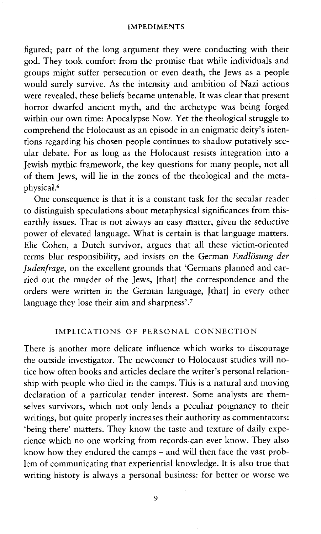figured; part of the long argument they were conducting with their god. They took comfort from the promise that while individuals and groups might suffer persecution or even death, the Jews as a people would surely survive. As the intensity and ambition of Nazi actions were revealed, these beliefs became untenable. It was clear that present horror dwarfed ancient myth, and the archetype was being forged within our own time: Apocalypse Now. Yet the theological struggle to comprehend the Holocaust as an episode in an enigmatic deity's intentions regarding his chosen people continues to shadow putatively secular debate. For as long as the Holocaust resists integration into a Jewish mythic framework, the key questions for many people, not all of them Jews, will lie in the zones of the theological and the metaphysical.6

One consequence is that it is a constant task for the secular reader to distinguish speculations about metaphysical significances from thisearthly issues. That is not always an easy matter, given the seductive power of elevated language. What is certain is that language matters. Elie Cohen, a Dutch survivor, argues that all these victim-oriented terms blur responsibility, and insists on the German *Endlösung der Judenfrage,* on the excellent grounds that 'Germans planned and carried out the murder of the Jews, [that] the correspondence and the orders were written in the German language, [that] in every other language they lose their aim and sharpness'.<sup>7</sup>

# IMPLICATIONS OF PERSONAL CONNECTION

There is another more delicate influence which works to discourage the outside investigator. The newcomer to Holocaust studies will notice how often books and articles declare the writer's personal relationship with people who died in the camps. This is a natural and moving declaration of a particular tender interest. Some analysts are themselves survivors, which not only lends a peculiar poignancy to their writings, but quite properly increases their authority as commentators: 'being there' matters. They know the taste and texture of daily experience which no one working from records can ever know. They also know how they endured the camps - and will then face the vast problem of communicating that experiential knowledge. It is also true that writing history is always a personal business: for better or worse we

**9**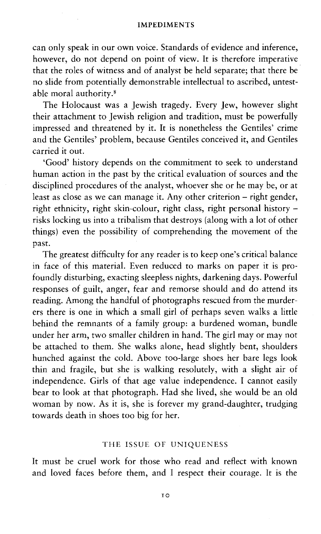can only speak in our own voice. Standards of evidence and inference, however, do not depend on point of view. It is therefore imperative that the roles of witness and of analyst be held separate; that there be no slide from potentially demonstrable intellectual to ascribed, untestable moral authority.<sup>8</sup>

The Holocaust was a Jewish tragedy. Every Jew, however slight their attachment to Jewish religion and tradition, must be powerfully impressed and threatened by it. It is nonetheless the Gentiles' crime and the Gentiles' problem, because Gentiles conceived it, and Gentiles carried it out.

'Good' history depends on the commitment to seek to understand human action in the past by the critical evaluation of sources and the disciplined procedures of the analyst, whoever she or he may be, or at least as close as we can manage it. Any other criterion – right gender, right ethnicity, right skin-colour, right class, right personal history risks locking us into a tribalism that destroys (along with a lot of other things) even the possibility of comprehending the movement of the past.

The greatest difficulty for any reader is to keep one's critical balance in face of this material. Even reduced to marks on paper it is profoundly disturbing, exacting sleepless nights, darkening days. Powerful responses of guilt, anger, fear and remorse should and do attend its reading. Among the handful of photographs rescued from the murderers there is one in which a small girl of perhaps seven walks a little behind the remnants of a family group: a burdened woman, bundle under her arm, two smaller children in hand. The girl may or may not be attached to them. She walks alone, head slightly bent, shoulders hunched against the cold. Above too-large shoes her bare legs look thin and fragile, but she is walking resolutely, with a slight air of independence. Girls of that age value independence. I cannot easily bear to look at that photograph. Had she lived, she would be an old woman by now. As it is, she is forever my grand-daughter, trudging towards death in shoes too big for her.

## THE ISSUE OF UNIQUENESS

It must be cruel work for those who read and reflect with known and loved faces before them, and I respect their courage. It is the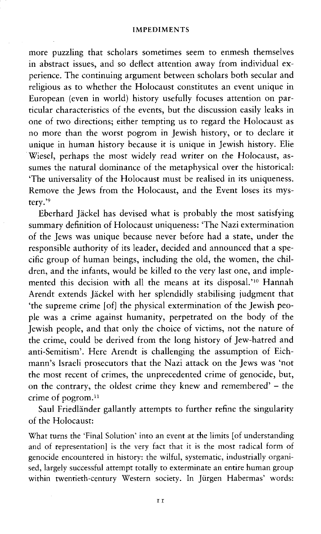more puzzling that scholars sometimes seem to enmesh themselves in abstract issues, and so deflect attention away from individual experience. The continuing argument between scholars both secular and religious as to whether the Holocaust constitutes an event unique in European (even in world) history usefully focuses attention on particular characteristics of the events, but the discussion easily leaks in one of two directions; either tempting us to regard the Holocaust as no more than the worst pogrom in Jewish history, or to declare it unique in human history because it is unique in Jewish history. Elie Wiesel, perhaps the most widely read writer on the Holocaust, assumes the natural dominance of the metaphysical over the historical: 'The universality of the Holocaust must be realised in its uniqueness. Remove the Jews from the Holocaust, and the Event loses its mystery.'9

Eberhard Jäckel has devised what is probably the most satisfying summary definition of Holocaust uniqueness: 'The Nazi extermination of the Jews was unique because never before had a state, under the responsible authority of its leader, decided and announced that a specific group of human beings, including the old, the women, the children, and the infants, would be killed to the very last one, and implemented this decision with all the means at its disposal.'<sup>10</sup> Hannah Arendt extends Jäckel with her splendidly stabilising judgment that 'the supreme crime [of] the physical extermination of the Jewish people was a crime against humanity, perpetrated on the body of the Jewish people, and that only the choice of victims, not the nature of the crime, could be derived from the long history of Jew-hatred and anti-Semitism'. Here Arendt is challenging the assumption of Eichmann's Israeli prosecutors that the Nazi attack on the Jews was 'not the most recent of crimes, the unprecedented crime of genocide, but, on the contrary, the oldest crime they knew and remembered' - the crime of pogrom.<sup>11</sup>

Saul Friedländer gallantly attempts to further refine the singularity of the Holocaust:

What turns the 'Final Solution' into an event at the limits [of understanding and of representation] is the very fact that it is the most radical form of genocide encountered in history: the wilful, systematic, industrially organised, largely successful attempt totally to exterminate an entire human group within twentieth-century Western society. In Jürgen Habermas' words:

II